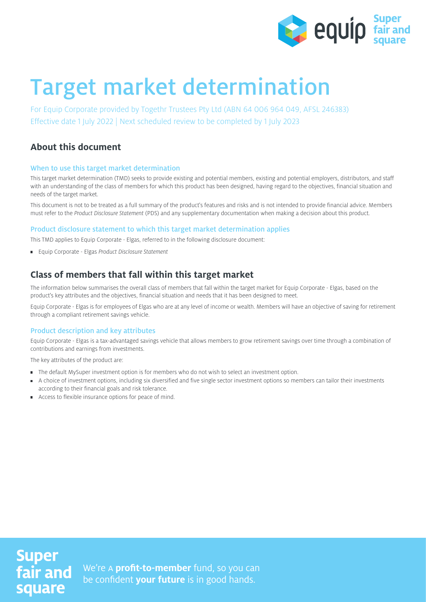

# Target market determination

For Equip Corporate provided by Togethr Trustees Pty Ltd (ABN 64 006 964 049, AFSL 246383) Effective date 1 July 2022 | Next scheduled review to be completed by 1 July 2023

# **About this document**

#### When to use this target market determination

This target market determination (TMD) seeks to provide existing and potential members, existing and potential employers, distributors, and staff with an understanding of the class of members for which this product has been designed, having regard to the objectives, financial situation and needs of the target market.

This document is not to be treated as a full summary of the product's features and risks and is not intended to provide financial advice. Members must refer to the Product Disclosure Statement (PDS) and any supplementary documentation when making a decision about this product.

#### Product disclosure statement to which this target market determination applies

This TMD applies to Equip Corporate - Elgas, referred to in the following disclosure document:

**Equip Corporate - Elgas Product Disclosure Statement** 

# **Class of members that fall within this target market**

The information below summarises the overall class of members that fall within the target market for Equip Corporate - Elgas, based on the product's key attributes and the objectives, financial situation and needs that it has been designed to meet.

Equip Corporate - Elgas is for employees of Elgas who are at any level of income or wealth. Members will have an objective of saving for retirement through a compliant retirement savings vehicle.

#### Product description and key attributes

Equip Corporate - Elgas is a tax-advantaged savings vehicle that allows members to grow retirement savings over time through a combination of contributions and earnings from investments.

The key attributes of the product are:

- The default MySuper investment option is for members who do not wish to select an investment option.
- $\blacksquare$ A choice of investment options, including six diversified and five single sector investment options so members can tailor their investments according to their financial goals and risk tolerance.
- Access to flexible insurance options for peace of mind.

# **Super** fair and square

We're A **profit-to-member** fund, so you can be confident **your future** is in good hands.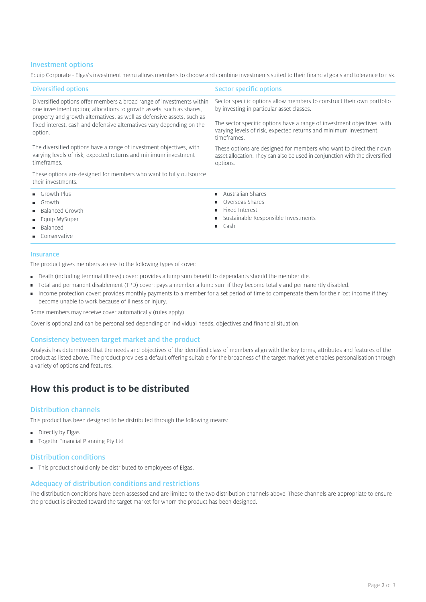#### Investment options

Equip Corporate - Elgas's investment menu allows members to choose and combine investments suited to their financial goals and tolerance to risk.

| <b>Diversified options</b>                                                                                                                                 | <b>Sector specific options</b>                                                                                                                                 |
|------------------------------------------------------------------------------------------------------------------------------------------------------------|----------------------------------------------------------------------------------------------------------------------------------------------------------------|
| Diversified options offer members a broad range of investments within<br>one investment option; allocations to growth assets, such as shares,              | Sector specific options allow members to construct their own portfolio<br>by investing in particular asset classes.                                            |
| property and growth alternatives, as well as defensive assets, such as<br>fixed interest, cash and defensive alternatives vary depending on the<br>option. | The sector specific options have a range of investment objectives, with<br>varying levels of risk, expected returns and minimum investment<br>timeframes.      |
| The diversified options have a range of investment objectives, with<br>varying levels of risk, expected returns and minimum investment<br>timeframes.      | These options are designed for members who want to direct their own<br>asset allocation. They can also be used in conjunction with the diversified<br>options. |
| These options are designed for members who want to fully outsource<br>their investments.                                                                   |                                                                                                                                                                |
| Growth Plus                                                                                                                                                | Australian Shares                                                                                                                                              |
| $\blacksquare$ Growth                                                                                                                                      | Overseas Shares                                                                                                                                                |
| <b>Balanced Growth</b>                                                                                                                                     | Fixed Interest                                                                                                                                                 |
| <b>Equip MySuper</b>                                                                                                                                       | Sustainable Responsible Investments                                                                                                                            |
| <b>Balanced</b>                                                                                                                                            | $\blacksquare$ Cash                                                                                                                                            |
| • Conservative                                                                                                                                             |                                                                                                                                                                |
|                                                                                                                                                            |                                                                                                                                                                |

#### Insurance

The product gives members access to the following types of cover:

- Death (including terminal illness) cover: provides a lump sum benefit to dependants should the member die.
- Total and permanent disablement (TPD) cover: pays a member a lump sum if they become totally and permanently disabled.
- Income protection cover: provides monthly payments to a member for a set period of time to compensate them for their lost income if they  $\blacksquare$ become unable to work because of illness or injury.

Some members may receive cover automatically (rules apply).

Cover is optional and can be personalised depending on individual needs, objectives and financial situation.

#### Consistency between target market and the product

Analysis has determined that the needs and objectives of the identified class of members align with the key terms, attributes and features of the product as listed above. The product provides a default offering suitable for the broadness of the target market yet enables personalisation through a variety of options and features.

### **How this product is to be distributed**

#### Distribution channels

This product has been designed to be distributed through the following means:

- **Directly by Elgas**
- **Togethr Financial Planning Pty Ltd**

#### Distribution conditions

■ This product should only be distributed to employees of Elgas.

#### Adequacy of distribution conditions and restrictions

The distribution conditions have been assessed and are limited to the two distribution channels above. These channels are appropriate to ensure the product is directed toward the target market for whom the product has been designed.

Page 2 of 3